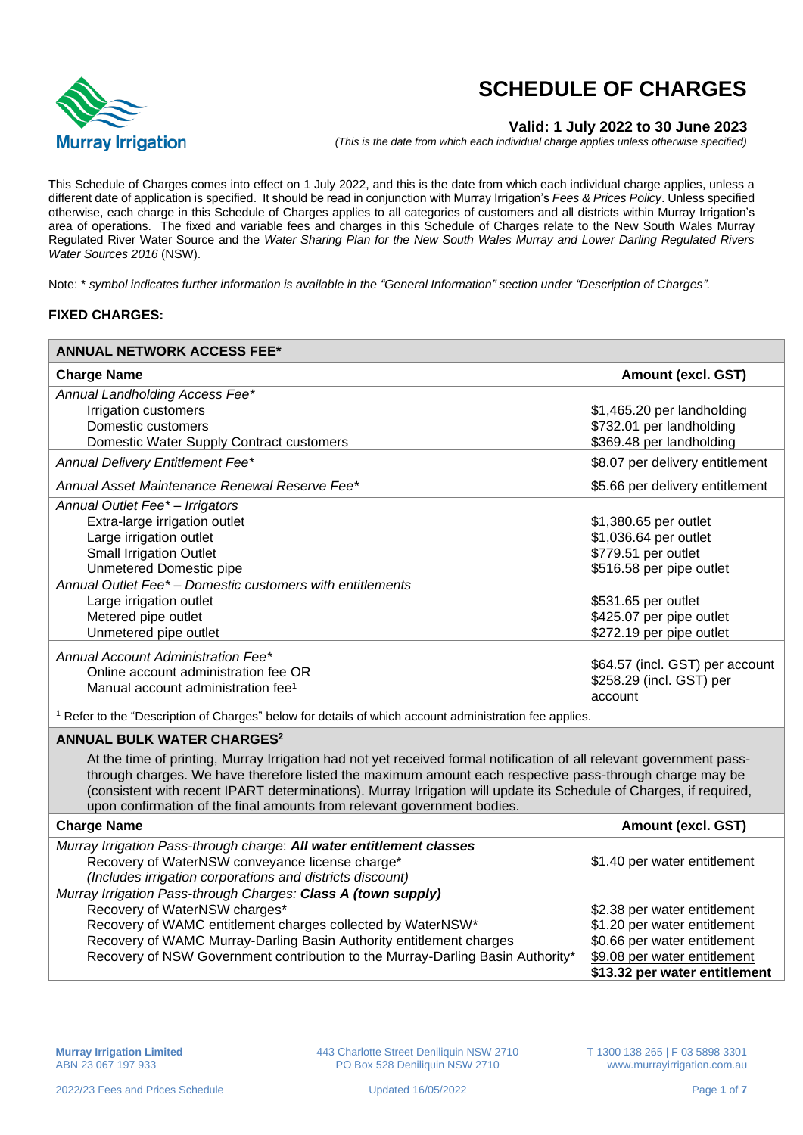

## **Valid: 1 July 2022 to 30 June 2023**

*(This is the date from which each individual charge applies unless otherwise specified)*

This Schedule of Charges comes into effect on 1 July 2022, and this is the date from which each individual charge applies, unless a different date of application is specified. It should be read in conjunction with Murray Irrigation's *Fees & Prices Policy*. Unless specified otherwise, each charge in this Schedule of Charges applies to all categories of customers and all districts within Murray Irrigation's area of operations. The fixed and variable fees and charges in this Schedule of Charges relate to the New South Wales Murray Regulated River Water Source and the *Water Sharing Plan for the New South Wales Murray and Lower Darling Regulated Rivers Water Sources 2016* (NSW).

Note: \* *symbol indicates further information is available in the "General Information" section under "Description of Charges".*

#### **FIXED CHARGES:**

| <b>ANNUAL NETWORK ACCESS FEE*</b>                                                                                                                                                                                                                                                                                                                                                                                                                                     |                                                                                                                                                                                                                                                 |  |
|-----------------------------------------------------------------------------------------------------------------------------------------------------------------------------------------------------------------------------------------------------------------------------------------------------------------------------------------------------------------------------------------------------------------------------------------------------------------------|-------------------------------------------------------------------------------------------------------------------------------------------------------------------------------------------------------------------------------------------------|--|
| <b>Charge Name</b>                                                                                                                                                                                                                                                                                                                                                                                                                                                    | Amount (excl. GST)                                                                                                                                                                                                                              |  |
| Annual Landholding Access Fee*<br>Irrigation customers<br>Domestic customers<br>Domestic Water Supply Contract customers                                                                                                                                                                                                                                                                                                                                              | \$1,465.20 per landholding<br>\$732.01 per landholding<br>\$369.48 per landholding                                                                                                                                                              |  |
| Annual Delivery Entitlement Fee*                                                                                                                                                                                                                                                                                                                                                                                                                                      | \$8.07 per delivery entitlement                                                                                                                                                                                                                 |  |
| Annual Asset Maintenance Renewal Reserve Fee*                                                                                                                                                                                                                                                                                                                                                                                                                         | \$5.66 per delivery entitlement                                                                                                                                                                                                                 |  |
| Annual Outlet Fee* - Irrigators<br>Extra-large irrigation outlet<br>Large irrigation outlet<br><b>Small Irrigation Outlet</b><br><b>Unmetered Domestic pipe</b><br>Annual Outlet Fee* - Domestic customers with entitlements<br>Large irrigation outlet<br>Metered pipe outlet<br>Unmetered pipe outlet<br>Annual Account Administration Fee*<br>Online account administration fee OR                                                                                 | \$1,380.65 per outlet<br>\$1,036.64 per outlet<br>\$779.51 per outlet<br>\$516.58 per pipe outlet<br>\$531.65 per outlet<br>\$425.07 per pipe outlet<br>\$272.19 per pipe outlet<br>\$64.57 (incl. GST) per account<br>\$258.29 (incl. GST) per |  |
| Manual account administration fee <sup>1</sup>                                                                                                                                                                                                                                                                                                                                                                                                                        | account                                                                                                                                                                                                                                         |  |
| <sup>1</sup> Refer to the "Description of Charges" below for details of which account administration fee applies.                                                                                                                                                                                                                                                                                                                                                     |                                                                                                                                                                                                                                                 |  |
| <b>ANNUAL BULK WATER CHARGES2</b><br>At the time of printing, Murray Irrigation had not yet received formal notification of all relevant government pass-<br>through charges. We have therefore listed the maximum amount each respective pass-through charge may be<br>(consistent with recent IPART determinations). Murray Irrigation will update its Schedule of Charges, if required,<br>upon confirmation of the final amounts from relevant government bodies. |                                                                                                                                                                                                                                                 |  |
| <b>Charge Name</b>                                                                                                                                                                                                                                                                                                                                                                                                                                                    | Amount (excl. GST)                                                                                                                                                                                                                              |  |
| Murray Irrigation Pass-through charge: All water entitlement classes<br>Recovery of WaterNSW conveyance license charge*<br>(Includes irrigation corporations and districts discount)                                                                                                                                                                                                                                                                                  | \$1.40 per water entitlement                                                                                                                                                                                                                    |  |
| Murray Irrigation Pass-through Charges: Class A (town supply)<br>Recovery of WaterNSW charges*<br>Recovery of WAMC entitlement charges collected by WaterNSW*<br>Recovery of WAMC Murray-Darling Basin Authority entitlement charges<br>Recovery of NSW Government contribution to the Murray-Darling Basin Authority*                                                                                                                                                | \$2.38 per water entitlement<br>\$1.20 per water entitlement<br>\$0.66 per water entitlement<br>\$9.08 per water entitlement<br>\$13.32 per water entitlement                                                                                   |  |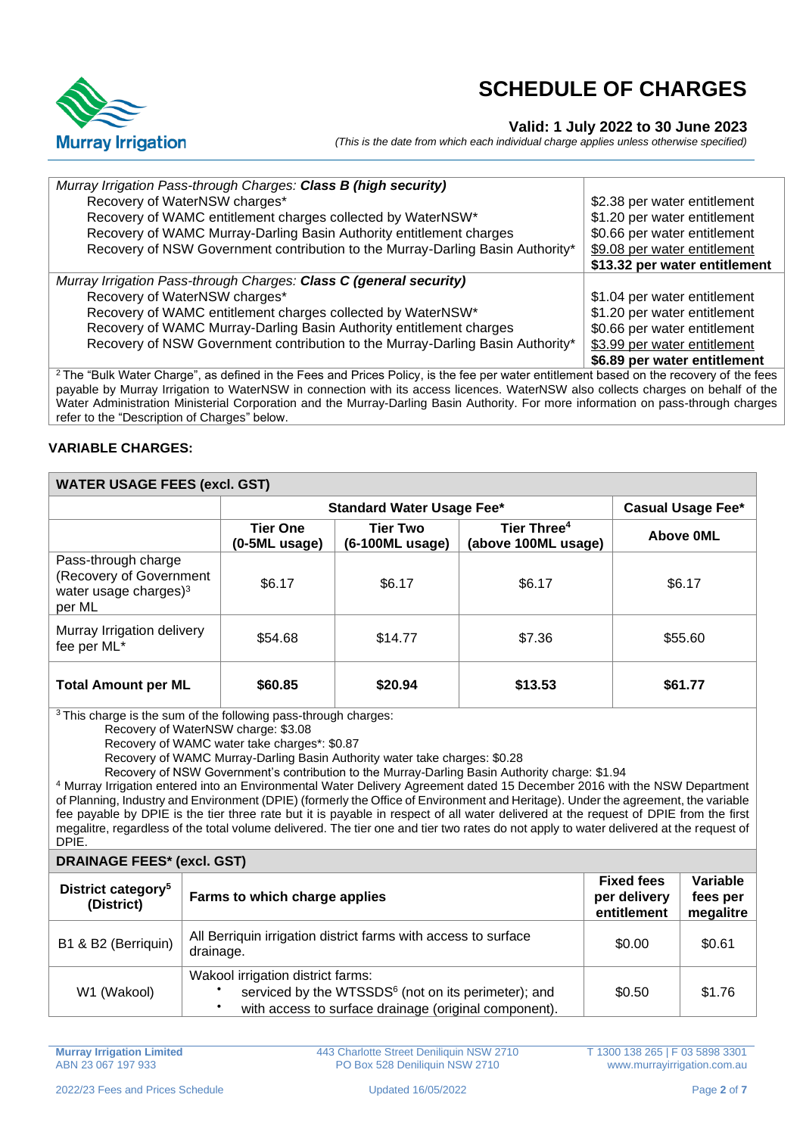

### **Valid: 1 July 2022 to 30 June 2023**

*(This is the date from which each individual charge applies unless otherwise specified)*

| Murray Irrigation Pass-through Charges: Class B (high security)                                                                                    |                               |
|----------------------------------------------------------------------------------------------------------------------------------------------------|-------------------------------|
| Recovery of WaterNSW charges*                                                                                                                      | \$2.38 per water entitlement  |
| Recovery of WAMC entitlement charges collected by WaterNSW*                                                                                        | \$1.20 per water entitlement  |
| Recovery of WAMC Murray-Darling Basin Authority entitlement charges                                                                                | \$0.66 per water entitlement  |
| Recovery of NSW Government contribution to the Murray-Darling Basin Authority*                                                                     | \$9.08 per water entitlement  |
|                                                                                                                                                    | \$13.32 per water entitlement |
| Murray Irrigation Pass-through Charges: Class C (general security)                                                                                 |                               |
| Recovery of WaterNSW charges*                                                                                                                      | \$1.04 per water entitlement  |
| Recovery of WAMC entitlement charges collected by WaterNSW*                                                                                        | \$1.20 per water entitlement  |
| Recovery of WAMC Murray-Darling Basin Authority entitlement charges                                                                                | \$0.66 per water entitlement  |
| Recovery of NSW Government contribution to the Murray-Darling Basin Authority*                                                                     | \$3.99 per water entitlement  |
|                                                                                                                                                    | \$6.89 per water entitlement  |
| <sup>2</sup> The "Bulk Water Charge", as defined in the Fees and Prices Policy, is the fee per water entitlement based on the recovery of the fees |                               |
| noughle by Murroy Irrigation to WaterNCW in connection with its conces licences. WaterNCW also collecte eberges an behalf of the                   |                               |

payable by Murray Irrigation to WaterNSW in connection with its access licences. WaterNSW also collects charges on behalf of the Water Administration Ministerial Corporation and the Murray-Darling Basin Authority. For more information on pass-through charges refer to the "Description of Charges" below.

### **VARIABLE CHARGES:**

## **WATER USAGE FEES (excl. GST)**

|                                                                                      | <b>Standard Water Usage Fee*</b> |                                    | <b>Casual Usage Fee*</b>                       |           |
|--------------------------------------------------------------------------------------|----------------------------------|------------------------------------|------------------------------------------------|-----------|
|                                                                                      | <b>Tier One</b><br>(0-5ML usage) | <b>Tier Two</b><br>(6-100ML usage) | Tier Three <sup>4</sup><br>(above 100ML usage) | Above OML |
| Pass-through charge<br>(Recovery of Government<br>water usage charges) $3$<br>per ML | \$6.17                           | \$6.17                             | \$6.17                                         | \$6.17    |
| Murray Irrigation delivery<br>fee per ML*                                            | \$54.68                          | \$14.77                            | \$7.36                                         | \$55.60   |
| <b>Total Amount per ML</b>                                                           | \$60.85                          | \$20.94                            | \$13.53                                        | \$61.77   |

<sup>3</sup> This charge is the sum of the following pass-through charges:

Recovery of WaterNSW charge: \$3.08

Recovery of WAMC water take charges\*: \$0.87

Recovery of WAMC Murray-Darling Basin Authority water take charges: \$0.28

Recovery of NSW Government's contribution to the Murray-Darling Basin Authority charge: \$1.94

<sup>4</sup> Murray Irrigation entered into an Environmental Water Delivery Agreement dated 15 December 2016 with the NSW Department of Planning, Industry and Environment (DPIE) (formerly the Office of Environment and Heritage). Under the agreement, the variable fee payable by DPIE is the tier three rate but it is payable in respect of all water delivered at the request of DPIE from the first megalitre, regardless of the total volume delivered. The tier one and tier two rates do not apply to water delivered at the request of DPIE.

| <b>DRAINAGE FEES* (excl. GST)</b>            |                                                                                                                                                               |                                                  |                                   |
|----------------------------------------------|---------------------------------------------------------------------------------------------------------------------------------------------------------------|--------------------------------------------------|-----------------------------------|
| District category <sup>5</sup><br>(District) | Farms to which charge applies                                                                                                                                 | <b>Fixed fees</b><br>per delivery<br>entitlement | Variable<br>fees per<br>megalitre |
| B1 & B2 (Berriquin)                          | All Berriquin irrigation district farms with access to surface<br>drainage.                                                                                   | \$0.00                                           | \$0.61                            |
| W1 (Wakool)                                  | Wakool irrigation district farms:<br>serviced by the WTSSDS <sup>6</sup> (not on its perimeter); and<br>with access to surface drainage (original component). | \$0.50                                           | \$1.76                            |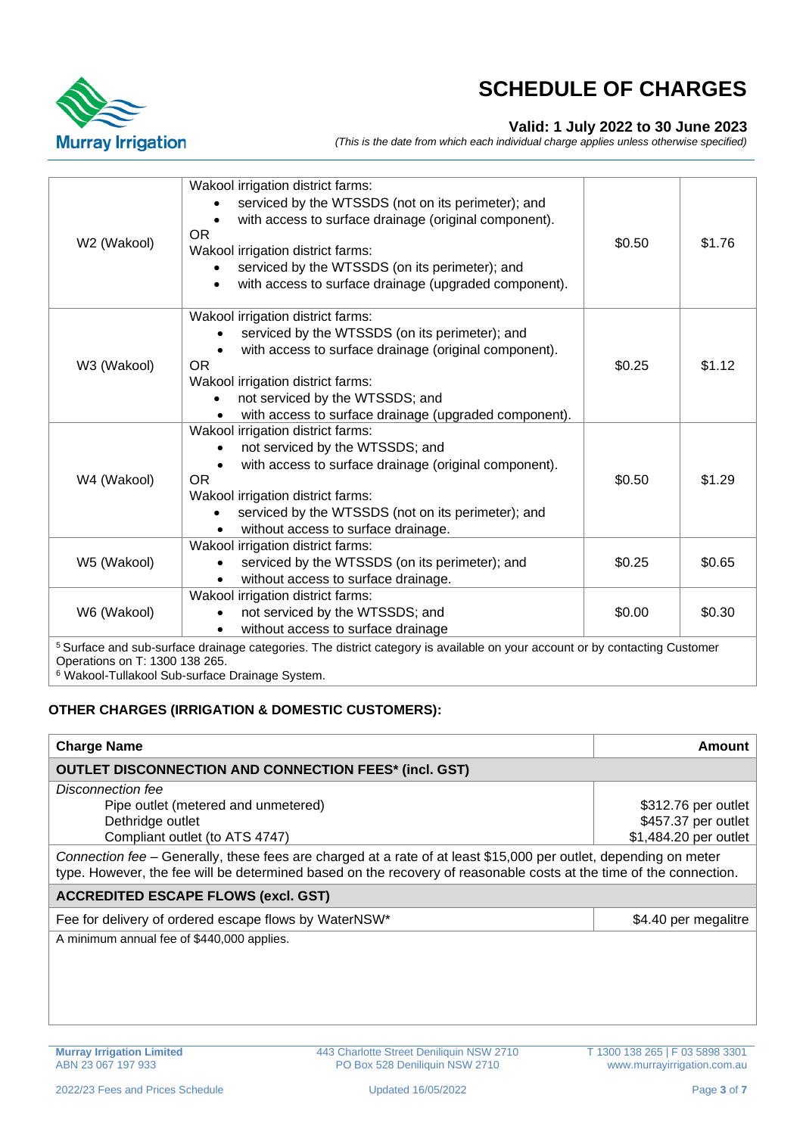

## **Valid: 1 July 2022 to 30 June 2023**

*(This is the date from which each individual charge applies unless otherwise specified)*

| W2 (Wakool)                    | Wakool irrigation district farms:<br>serviced by the WTSSDS (not on its perimeter); and<br>with access to surface drainage (original component).<br><b>OR</b><br>Wakool irrigation district farms:<br>serviced by the WTSSDS (on its perimeter); and<br>with access to surface drainage (upgraded component). | \$0.50 | \$1.76 |
|--------------------------------|---------------------------------------------------------------------------------------------------------------------------------------------------------------------------------------------------------------------------------------------------------------------------------------------------------------|--------|--------|
| W3 (Wakool)                    | Wakool irrigation district farms:<br>serviced by the WTSSDS (on its perimeter); and<br>with access to surface drainage (original component).<br><b>OR</b><br>Wakool irrigation district farms:<br>not serviced by the WTSSDS; and<br>with access to surface drainage (upgraded component).                    | \$0.25 | \$1.12 |
| W4 (Wakool)                    | Wakool irrigation district farms:<br>not serviced by the WTSSDS; and<br>with access to surface drainage (original component).<br>OR.<br>Wakool irrigation district farms:<br>serviced by the WTSSDS (not on its perimeter); and<br>without access to surface drainage.                                        | \$0.50 | \$1.29 |
| W5 (Wakool)                    | Wakool irrigation district farms:<br>serviced by the WTSSDS (on its perimeter); and<br>without access to surface drainage.                                                                                                                                                                                    | \$0.25 | \$0.65 |
| W6 (Wakool)                    | Wakool irrigation district farms:<br>not serviced by the WTSSDS; and<br>without access to surface drainage                                                                                                                                                                                                    | \$0.00 | \$0.30 |
| Operations on T: 1300 138 265. | <sup>5</sup> Surface and sub-surface drainage categories. The district category is available on your account or by contacting Customer                                                                                                                                                                        |        |        |

<sup>6</sup> Wakool-Tullakool Sub-surface Drainage System.

### **OTHER CHARGES (IRRIGATION & DOMESTIC CUSTOMERS):**

| <b>Charge Name</b>                                                                                                                                                                                                                     | Amount                |  |
|----------------------------------------------------------------------------------------------------------------------------------------------------------------------------------------------------------------------------------------|-----------------------|--|
| <b>OUTLET DISCONNECTION AND CONNECTION FEES* (incl. GST)</b>                                                                                                                                                                           |                       |  |
| Disconnection fee                                                                                                                                                                                                                      |                       |  |
| Pipe outlet (metered and unmetered)                                                                                                                                                                                                    | \$312.76 per outlet   |  |
| Dethridge outlet                                                                                                                                                                                                                       | \$457.37 per outlet   |  |
| Compliant outlet (to ATS 4747)                                                                                                                                                                                                         | \$1,484.20 per outlet |  |
| Connection fee – Generally, these fees are charged at a rate of at least \$15,000 per outlet, depending on meter<br>type. However, the fee will be determined based on the recovery of reasonable costs at the time of the connection. |                       |  |
| <b>ACCREDITED ESCAPE FLOWS (excl. GST)</b>                                                                                                                                                                                             |                       |  |
| Fee for delivery of ordered escape flows by WaterNSW*                                                                                                                                                                                  | \$4.40 per megalitre  |  |
| A minimum annual fee of \$440,000 applies.                                                                                                                                                                                             |                       |  |
|                                                                                                                                                                                                                                        |                       |  |
|                                                                                                                                                                                                                                        |                       |  |
|                                                                                                                                                                                                                                        |                       |  |
|                                                                                                                                                                                                                                        |                       |  |
|                                                                                                                                                                                                                                        |                       |  |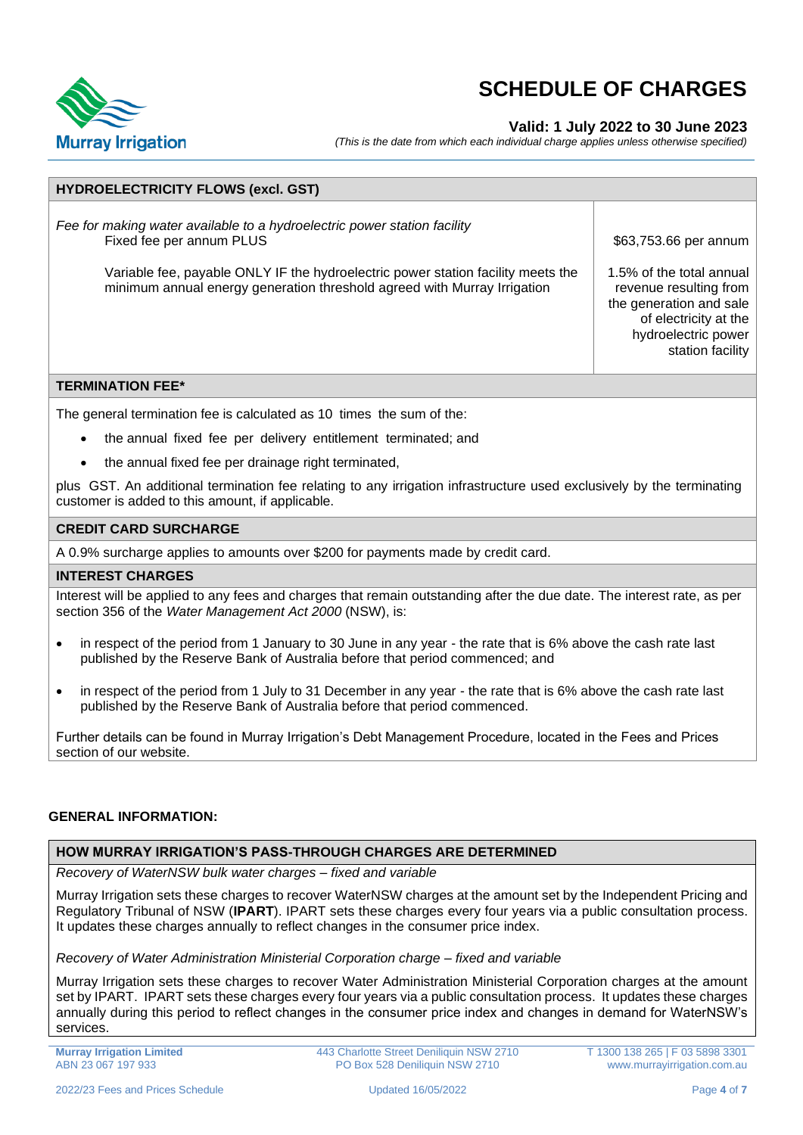

### **Valid: 1 July 2022 to 30 June 2023**

*(This is the date from which each individual charge applies unless otherwise specified)*

| <b>HYDROELECTRICITY FLOWS (excl. GST)</b>                                                                                                                                                                                                                            |                                                                                                                                                        |
|----------------------------------------------------------------------------------------------------------------------------------------------------------------------------------------------------------------------------------------------------------------------|--------------------------------------------------------------------------------------------------------------------------------------------------------|
| Fee for making water available to a hydroelectric power station facility<br>Fixed fee per annum PLUS<br>Variable fee, payable ONLY IF the hydroelectric power station facility meets the<br>minimum annual energy generation threshold agreed with Murray Irrigation | \$63,753.66 per annum<br>1.5% of the total annual<br>revenue resulting from<br>the generation and sale<br>of electricity at the<br>hydroelectric power |
|                                                                                                                                                                                                                                                                      | station facility                                                                                                                                       |
| <b>TERMINATION FEE*</b>                                                                                                                                                                                                                                              |                                                                                                                                                        |
| The general termination fee is calculated as 10 times the sum of the:                                                                                                                                                                                                |                                                                                                                                                        |

- the annual fixed fee per delivery entitlement terminated; and
- the annual fixed fee per drainage right terminated,

plus GST. An additional termination fee relating to any irrigation infrastructure used exclusively by the terminating customer is added to this amount, if applicable.

#### **CREDIT CARD SURCHARGE**

A 0.9% surcharge applies to amounts over \$200 for payments made by credit card.

#### **INTEREST CHARGES**

Interest will be applied to any fees and charges that remain outstanding after the due date. The interest rate, as per section 356 of the *Water Management Act 2000* (NSW), is:

- in respect of the period from 1 January to 30 June in any year the rate that is 6% above the cash rate last published by the Reserve Bank of Australia before that period commenced; and
- in respect of the period from 1 July to 31 December in any year the rate that is 6% above the cash rate last published by the Reserve Bank of Australia before that period commenced.

Further details can be found in Murray Irrigation's Debt Management Procedure, located in the Fees and Prices section of our website.

#### **GENERAL INFORMATION:**

#### **HOW MURRAY IRRIGATION'S PASS-THROUGH CHARGES ARE DETERMINED**

*Recovery of WaterNSW bulk water charges – fixed and variable*

Murray Irrigation sets these charges to recover WaterNSW charges at the amount set by the Independent Pricing and Regulatory Tribunal of NSW (**IPART**). IPART sets these charges every four years via a public consultation process. It updates these charges annually to reflect changes in the consumer price index.

#### *Recovery of Water Administration Ministerial Corporation charge – fixed and variable*

Murray Irrigation sets these charges to recover Water Administration Ministerial Corporation charges at the amount set by IPART. IPART sets these charges every four years via a public consultation process. It updates these charges annually during this period to reflect changes in the consumer price index and changes in demand for WaterNSW's services.

**Murray Irrigation Limited** ABN 23 067 197 933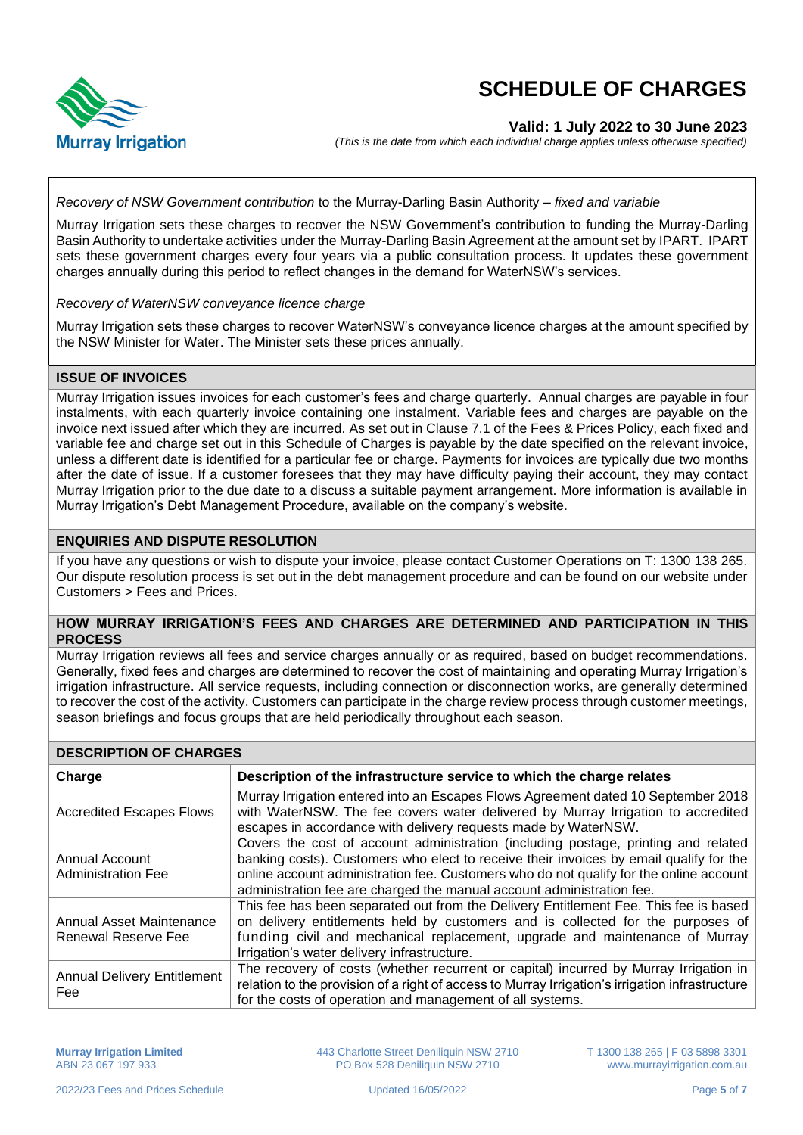

### **Valid: 1 July 2022 to 30 June 2023**

*(This is the date from which each individual charge applies unless otherwise specified)*

#### *Recovery of NSW Government contribution* to the Murray-Darling Basin Authority *– fixed and variable*

Murray Irrigation sets these charges to recover the NSW Government's contribution to funding the Murray-Darling Basin Authority to undertake activities under the Murray-Darling Basin Agreement at the amount set by IPART. IPART sets these government charges every four years via a public consultation process. It updates these government charges annually during this period to reflect changes in the demand for WaterNSW's services.

#### *Recovery of WaterNSW conveyance licence charge*

Murray Irrigation sets these charges to recover WaterNSW's conveyance licence charges at the amount specified by the NSW Minister for Water. The Minister sets these prices annually.

### **ISSUE OF INVOICES**

Murray Irrigation issues invoices for each customer's fees and charge quarterly. Annual charges are payable in four instalments, with each quarterly invoice containing one instalment. Variable fees and charges are payable on the invoice next issued after which they are incurred. As set out in Clause 7.1 of the Fees & Prices Policy, each fixed and variable fee and charge set out in this Schedule of Charges is payable by the date specified on the relevant invoice, unless a different date is identified for a particular fee or charge. Payments for invoices are typically due two months after the date of issue. If a customer foresees that they may have difficulty paying their account, they may contact Murray Irrigation prior to the due date to a discuss a suitable payment arrangement. More information is available in Murray Irrigation's Debt Management Procedure, available on the company's website.

#### **ENQUIRIES AND DISPUTE RESOLUTION**

If you have any questions or wish to dispute your invoice, please contact Customer Operations on T: 1300 138 265. Our dispute resolution process is set out in the debt management procedure and can be found on our website under Customers > Fees and Prices.

### **HOW MURRAY IRRIGATION'S FEES AND CHARGES ARE DETERMINED AND PARTICIPATION IN THIS PROCESS**

Murray Irrigation reviews all fees and service charges annually or as required, based on budget recommendations. Generally, fixed fees and charges are determined to recover the cost of maintaining and operating Murray Irrigation's irrigation infrastructure. All service requests, including connection or disconnection works, are generally determined to recover the cost of the activity. Customers can participate in the charge review process through customer meetings, season briefings and focus groups that are held periodically throughout each season.

| <b>DESCRIPTION OF CHARGES</b>                   |                                                                                                                                                                                                                                                                                                                                                 |  |
|-------------------------------------------------|-------------------------------------------------------------------------------------------------------------------------------------------------------------------------------------------------------------------------------------------------------------------------------------------------------------------------------------------------|--|
| Charge                                          | Description of the infrastructure service to which the charge relates                                                                                                                                                                                                                                                                           |  |
| <b>Accredited Escapes Flows</b>                 | Murray Irrigation entered into an Escapes Flows Agreement dated 10 September 2018<br>with WaterNSW. The fee covers water delivered by Murray Irrigation to accredited<br>escapes in accordance with delivery requests made by WaterNSW.                                                                                                         |  |
| Annual Account<br><b>Administration Fee</b>     | Covers the cost of account administration (including postage, printing and related<br>banking costs). Customers who elect to receive their invoices by email qualify for the<br>online account administration fee. Customers who do not qualify for the online account<br>administration fee are charged the manual account administration fee. |  |
| Annual Asset Maintenance<br>Renewal Reserve Fee | This fee has been separated out from the Delivery Entitlement Fee. This fee is based<br>on delivery entitlements held by customers and is collected for the purposes of<br>funding civil and mechanical replacement, upgrade and maintenance of Murray<br>Irrigation's water delivery infrastructure.                                           |  |
| <b>Annual Delivery Entitlement</b><br>Fee       | The recovery of costs (whether recurrent or capital) incurred by Murray Irrigation in<br>relation to the provision of a right of access to Murray Irrigation's irrigation infrastructure<br>for the costs of operation and management of all systems.                                                                                           |  |

443 Charlotte Street Deniliquin NSW 2710 PO Box 528 Deniliquin NSW 2710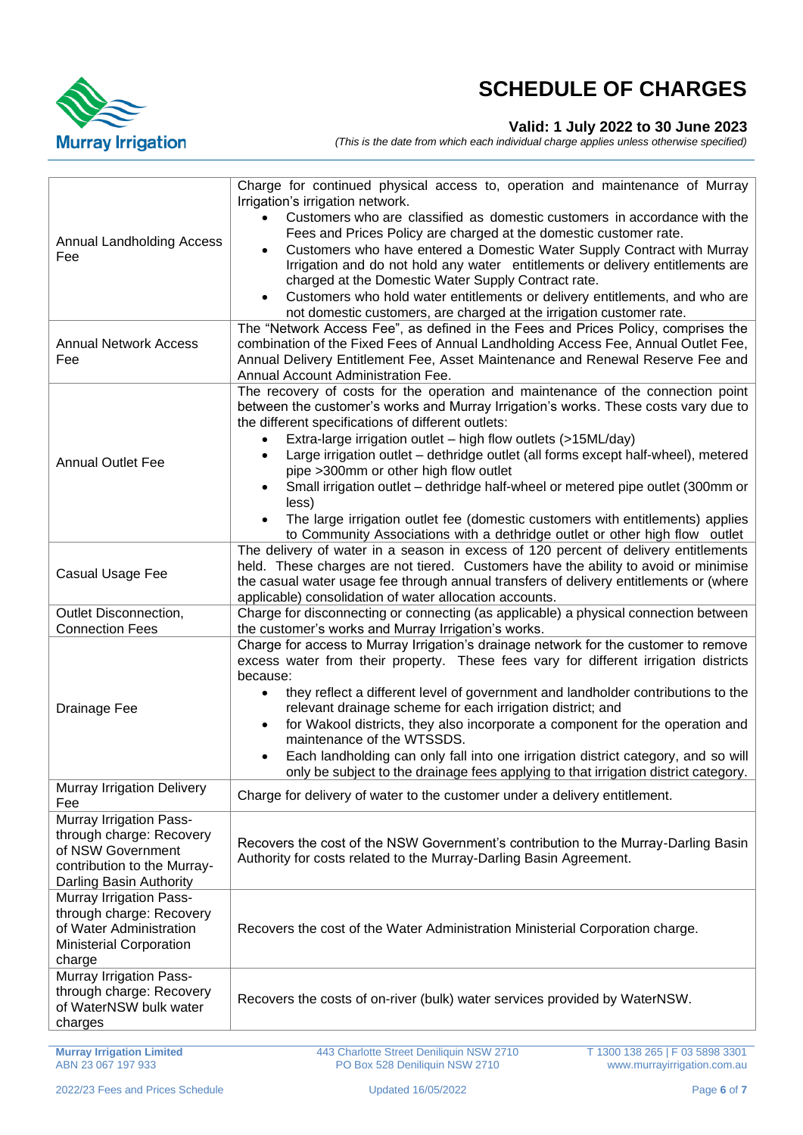

## **Valid: 1 July 2022 to 30 June 2023**

*(This is the date from which each individual charge applies unless otherwise specified)*

| <b>Annual Landholding Access</b><br>Fee                                                                                            | Charge for continued physical access to, operation and maintenance of Murray<br>Irrigation's irrigation network.<br>Customers who are classified as domestic customers in accordance with the<br>Fees and Prices Policy are charged at the domestic customer rate.<br>Customers who have entered a Domestic Water Supply Contract with Murray<br>Irrigation and do not hold any water entitlements or delivery entitlements are<br>charged at the Domestic Water Supply Contract rate.<br>Customers who hold water entitlements or delivery entitlements, and who are<br>not domestic customers, are charged at the irrigation customer rate.                                            |
|------------------------------------------------------------------------------------------------------------------------------------|------------------------------------------------------------------------------------------------------------------------------------------------------------------------------------------------------------------------------------------------------------------------------------------------------------------------------------------------------------------------------------------------------------------------------------------------------------------------------------------------------------------------------------------------------------------------------------------------------------------------------------------------------------------------------------------|
|                                                                                                                                    |                                                                                                                                                                                                                                                                                                                                                                                                                                                                                                                                                                                                                                                                                          |
| <b>Annual Network Access</b><br>Fee                                                                                                | The "Network Access Fee", as defined in the Fees and Prices Policy, comprises the<br>combination of the Fixed Fees of Annual Landholding Access Fee, Annual Outlet Fee,<br>Annual Delivery Entitlement Fee, Asset Maintenance and Renewal Reserve Fee and<br>Annual Account Administration Fee.                                                                                                                                                                                                                                                                                                                                                                                          |
| <b>Annual Outlet Fee</b>                                                                                                           | The recovery of costs for the operation and maintenance of the connection point<br>between the customer's works and Murray Irrigation's works. These costs vary due to<br>the different specifications of different outlets:<br>Extra-large irrigation outlet - high flow outlets (>15ML/day)<br>Large irrigation outlet - dethridge outlet (all forms except half-wheel), metered<br>pipe >300mm or other high flow outlet<br>Small irrigation outlet - dethridge half-wheel or metered pipe outlet (300mm or<br>less)<br>The large irrigation outlet fee (domestic customers with entitlements) applies<br>to Community Associations with a dethridge outlet or other high flow outlet |
| Casual Usage Fee                                                                                                                   | The delivery of water in a season in excess of 120 percent of delivery entitlements<br>held. These charges are not tiered. Customers have the ability to avoid or minimise<br>the casual water usage fee through annual transfers of delivery entitlements or (where<br>applicable) consolidation of water allocation accounts.                                                                                                                                                                                                                                                                                                                                                          |
| Outlet Disconnection,                                                                                                              | Charge for disconnecting or connecting (as applicable) a physical connection between                                                                                                                                                                                                                                                                                                                                                                                                                                                                                                                                                                                                     |
| <b>Connection Fees</b>                                                                                                             | the customer's works and Murray Irrigation's works.                                                                                                                                                                                                                                                                                                                                                                                                                                                                                                                                                                                                                                      |
| Drainage Fee                                                                                                                       | Charge for access to Murray Irrigation's drainage network for the customer to remove<br>excess water from their property. These fees vary for different irrigation districts<br>because:<br>they reflect a different level of government and landholder contributions to the<br>$\bullet$<br>relevant drainage scheme for each irrigation district; and<br>for Wakool districts, they also incorporate a component for the operation and<br>$\bullet$<br>maintenance of the WTSSDS.<br>Each landholding can only fall into one irrigation district category, and so will<br>only be subject to the drainage fees applying to that irrigation district category.                          |
| Murray Irrigation Delivery<br>Fee                                                                                                  | Charge for delivery of water to the customer under a delivery entitlement.                                                                                                                                                                                                                                                                                                                                                                                                                                                                                                                                                                                                               |
| Murray Irrigation Pass-<br>through charge: Recovery<br>of NSW Government<br>contribution to the Murray-<br>Darling Basin Authority | Recovers the cost of the NSW Government's contribution to the Murray-Darling Basin<br>Authority for costs related to the Murray-Darling Basin Agreement.                                                                                                                                                                                                                                                                                                                                                                                                                                                                                                                                 |
| Murray Irrigation Pass-<br>through charge: Recovery<br>of Water Administration<br><b>Ministerial Corporation</b><br>charge         | Recovers the cost of the Water Administration Ministerial Corporation charge.                                                                                                                                                                                                                                                                                                                                                                                                                                                                                                                                                                                                            |
| Murray Irrigation Pass-<br>through charge: Recovery<br>of WaterNSW bulk water<br>charges                                           | Recovers the costs of on-river (bulk) water services provided by WaterNSW.                                                                                                                                                                                                                                                                                                                                                                                                                                                                                                                                                                                                               |